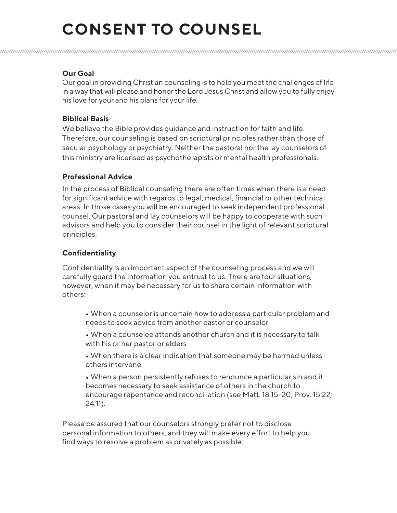## **CONSENT TO COUNSEL**

## **Our Goal**

Our goal in providing Christian counseling is to help you meet the challenges of life in a way that will please and honor the Lord Jesus Christ and allow you to fully enjoy his love for your and his plans for your life.

#### **Biblical Basis**

We believe the Bible provides guidance and instruction for faith and life. Therefore, our counseling is based on scriptural principles rather than those of secular psychology or psychiatry. Neither the pastoral nor the lay counselors of this ministry are licensed as psychotherapists or mental health professionals.

#### **Professional Advice**

In the process of Biblical counseling there are often times when there is a need for significant advice with regards to legal, medical, financial or other technical areas. In those cases you will be encouraged to seek independent professional counsel. Our pastoral and lay counselors will be happy to cooperate with such advisors and help you to consider their counsel in the light of relevant scriptural principles.

### **Confidentiality**

Confidentiality is an important aspect of the counseling process and we will carefully guard the information you entrust to us. There are four situations, however, when it may be necessary for us to share certain information with others:

- When a counselor is [uncertain how to address a particular pro](https://256469dc8dd9b78e41a9-ba52a0b241f891ac68e37b761b226571.ssl.cf2.rackcdn.com/uploaded/a/0e7846106_1537461845_awana-2018-2019-yearly-calendar.pdf)blem and needs to seek advice from another pastor or counselor
- When a counselee attends another church and it is necessary to talk with his or her pastor or elders
- When there is a clear indication that someone may be harmed unless others intervene

• When a person persistently refuses to renounce a particular sin and it becomes necessary to seek assistance of others in the church to encourage repentance and reconciliation (see Matt. 18:15-20; Prov. 15:22; 24:11).

Please be assured that our counselors strongly prefer not to disclose personal information to others, and they will make every effort to help you find ways to resolve a problem as privately as possible.